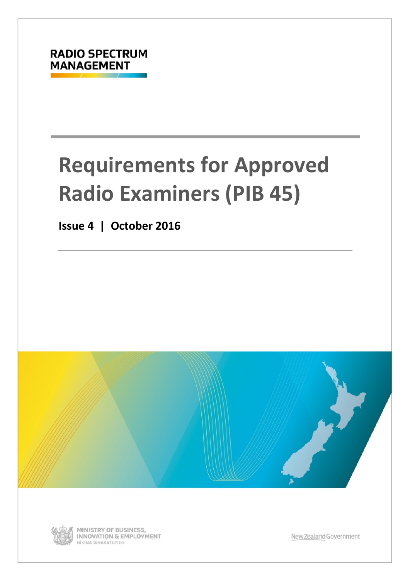# **Requirements for Approved Radio Examiners (PIB 45)**

**Issue 4 | October 2016**





MINISTRY OF BUSINESS, **INNOVATION & EMPLOYMENT** HĪKINA WHAKATUTUKI

New Zealand Government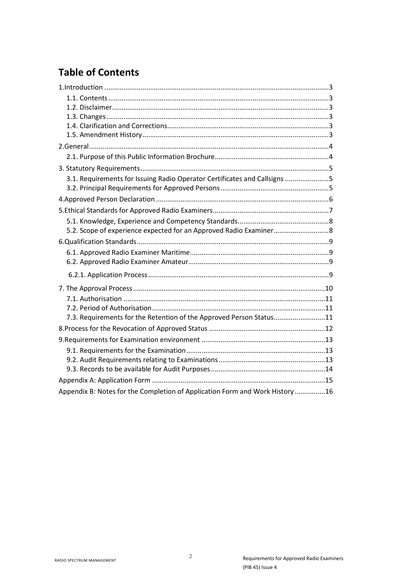## **Table of Contents**

| 3.1. Requirements for Issuing Radio Operator Certificates and Callsigns 5    |  |
|------------------------------------------------------------------------------|--|
|                                                                              |  |
|                                                                              |  |
|                                                                              |  |
|                                                                              |  |
|                                                                              |  |
|                                                                              |  |
|                                                                              |  |
|                                                                              |  |
|                                                                              |  |
|                                                                              |  |
|                                                                              |  |
|                                                                              |  |
| 7.3. Requirements for the Retention of the Approved Person Status11          |  |
|                                                                              |  |
|                                                                              |  |
|                                                                              |  |
|                                                                              |  |
|                                                                              |  |
|                                                                              |  |
| Appendix B: Notes for the Completion of Application Form and Work History 16 |  |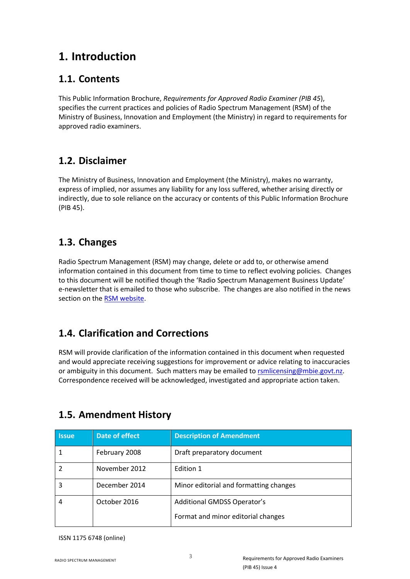## <span id="page-2-0"></span>**1. Introduction**

#### <span id="page-2-1"></span>**1.1. Contents**

This Public Information Brochure, *Requirements for Approved Radio Examiner (PIB 45*), specifies the current practices and policies of Radio Spectrum Management (RSM) of the Ministry of Business, Innovation and Employment (the Ministry) in regard to requirements for approved radio examiners.

#### <span id="page-2-2"></span>**1.2. Disclaimer**

The Ministry of Business, Innovation and Employment (the Ministry), makes no warranty, express of implied, nor assumes any liability for any loss suffered, whether arising directly or indirectly, due to sole reliance on the accuracy or contents of this Public Information Brochure (PIB 45).

#### <span id="page-2-3"></span>**1.3. Changes**

Radio Spectrum Management (RSM) may change, delete or add to, or otherwise amend information contained in this document from time to time to reflect evolving policies. Changes to this document will be notified though the 'Radio Spectrum Management Business Update' e-newsletter that is emailed to those who subscribe. The changes are also notified in the news section on the [RSM website.](http://www.rsm.govt.nz/)

#### <span id="page-2-4"></span>**1.4. Clarification and Corrections**

RSM will provide clarification of the information contained in this document when requested and would appreciate receiving suggestions for improvement or advice relating to inaccuracies or ambiguity in this document. Such matters may be emailed to [rsmlicensing@mbie.govt.nz.](mailto:rsmlicensing@mbie.govt.nz) Correspondence received will be acknowledged, investigated and appropriate action taken.

| <b>Issue</b> | Date of effect | <b>Description of Amendment</b>        |
|--------------|----------------|----------------------------------------|
|              | February 2008  | Draft preparatory document             |
|              | November 2012  | Edition 1                              |
|              | December 2014  | Minor editorial and formatting changes |
|              | October 2016   | <b>Additional GMDSS Operator's</b>     |
|              |                | Format and minor editorial changes     |

#### <span id="page-2-5"></span>**1.5. Amendment History**

ISSN 1175 6748 (online)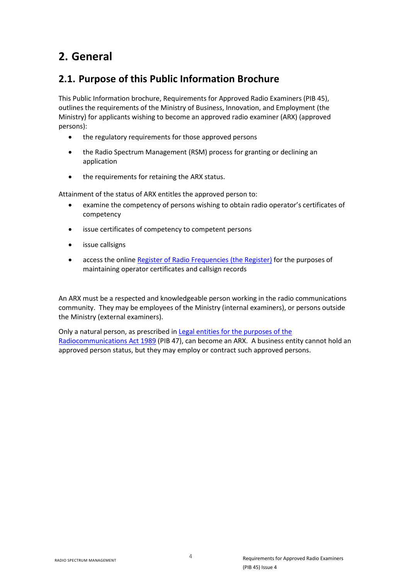# <span id="page-3-0"></span>**2. General**

#### <span id="page-3-1"></span>**2.1. Purpose of this Public Information Brochure**

This Public Information brochure, Requirements for Approved Radio Examiners (PIB 45), outlines the requirements of the Ministry of Business, Innovation, and Employment (the Ministry) for applicants wishing to become an approved radio examiner (ARX) (approved persons):

- the regulatory requirements for those approved persons
- the Radio Spectrum Management (RSM) process for granting or declining an application
- the requirements for retaining the ARX status.

Attainment of the status of ARX entitles the approved person to:

- examine the competency of persons wishing to obtain radio operator's certificates of competency
- issue certificates of competency to competent persons
- issue callsigns
- access the onlin[e Register of Radio Frequencies \(the Register\)](http://www.rsm.govt.nz/the-register) for the purposes of maintaining operator certificates and callsign records

An ARX must be a respected and knowledgeable person working in the radio communications community. They may be employees of the Ministry (internal examiners), or persons outside the Ministry (external examiners).

Only a natural person, as prescribed i[n Legal entities for the purposes of the](http://www.rsm.govt.nz/online-services-resources/publications/pibs/47)  [Radiocommunications Act 1989](http://www.rsm.govt.nz/online-services-resources/publications/pibs/47) (PIB 47), can become an ARX. A business entity cannot hold an approved person status, but they may employ or contract such approved persons.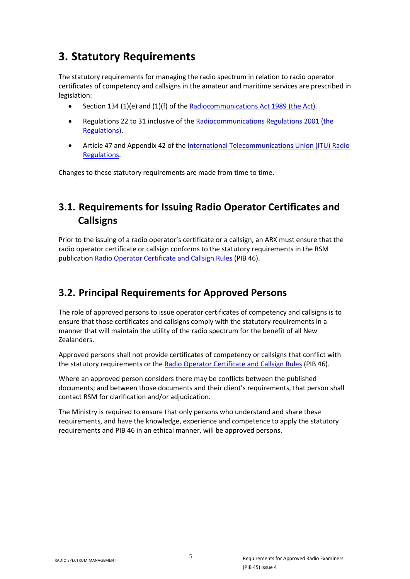## <span id="page-4-0"></span>**3. Statutory Requirements**

The statutory requirements for managing the radio spectrum in relation to radio operator certificates of competency and callsigns in the amateur and maritime services are prescribed in legislation:

- Section 134 (1)(e) and (1)(f) of the [Radiocommunications Act 1989 \(the Act\).](http://www.legislation.govt.nz/act/public/1989/0148/latest/whole.html#DLM197395)
- Regulations 22 to 31 inclusive of th[e Radiocommunications Regulations 2001 \(the](http://www.legislation.govt.nz/regulation/public/2001/0240/latest/whole.html#DLM2372502)  [Regulations\).](http://www.legislation.govt.nz/regulation/public/2001/0240/latest/whole.html#DLM2372502)
- Article 47 and Appendix 42 of the [International Telecommunications Union \(ITU\) Radio](http://www.itu.int/pub/R-REG-RR/en)  [Regulations.](http://www.itu.int/pub/R-REG-RR/en)

Changes to these statutory requirements are made from time to time.

## <span id="page-4-1"></span>**3.1. Requirements for Issuing Radio Operator Certificates and Callsigns**

Prior to the issuing of a radio operator's certificate or a callsign, an ARX must ensure that the radio operator certificate or callsign conforms to the statutory requirements in the RSM publication [Radio Operator Certificate and Callsign Rules](http://www.rsm.govt.nz/online-services-resources/publications/pibs/46) (PIB 46).

#### <span id="page-4-2"></span>**3.2. Principal Requirements for Approved Persons**

The role of approved persons to issue operator certificates of competency and callsigns is to ensure that those certificates and callsigns comply with the statutory requirements in a manner that will maintain the utility of the radio spectrum for the benefit of all New Zealanders.

Approved persons shall not provide certificates of competency or callsigns that conflict with the statutory requirements or th[e Radio Operator Certificate and Callsign Rules](http://www.rsm.govt.nz/online-services-resources/publications/pibs/46) (PIB 46).

Where an approved person considers there may be conflicts between the published documents; and between those documents and their client's requirements, that person shall contact RSM for clarification and/or adjudication.

The Ministry is required to ensure that only persons who understand and share these requirements, and have the knowledge, experience and competence to apply the statutory requirements and PIB 46 in an ethical manner, will be approved persons.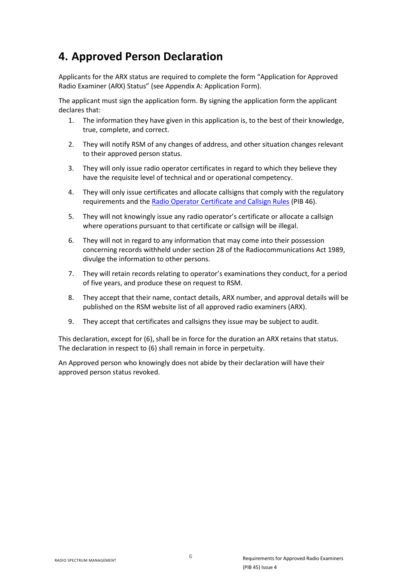## <span id="page-5-0"></span>**4. Approved Person Declaration**

Applicants for the ARX status are required to complete the form "Application for Approved Radio Examiner (ARX) Status" (see [Appendix A: Application Form\)](#page-14-0).

The applicant must sign the application form. By signing the application form the applicant declares that:

- 1. The information they have given in this application is, to the best of their knowledge, true, complete, and correct.
- 2. They will notify RSM of any changes of address, and other situation changes relevant to their approved person status.
- 3. They will only issue radio operator certificates in regard to which they believe they have the requisite level of technical and or operational competency.
- 4. They will only issue certificates and allocate callsigns that comply with the regulatory requirements and the [Radio Operator Certificate and Callsign Rules](http://www.rsm.govt.nz/online-services-resources/publications/pibs/46) (PIB 46).
- 5. They will not knowingly issue any radio operator's certificate or allocate a callsign where operations pursuant to that certificate or callsign will be illegal.
- 6. They will not in regard to any information that may come into their possession concerning records withheld under section 28 of the Radiocommunications Act 1989, divulge the information to other persons.
- 7. They will retain records relating to operator's examinations they conduct, for a period of five years, and produce these on request to RSM.
- 8. They accept that their name, contact details, ARX number, and approval details will be published on the RSM website list of all approved radio examiners (ARX).
- 9. They accept that certificates and callsigns they issue may be subject to audit.

This declaration, except for (6), shall be in force for the duration an ARX retains that status. The declaration in respect to (6) shall remain in force in perpetuity.

An Approved person who knowingly does not abide by their declaration will have their approved person status revoked.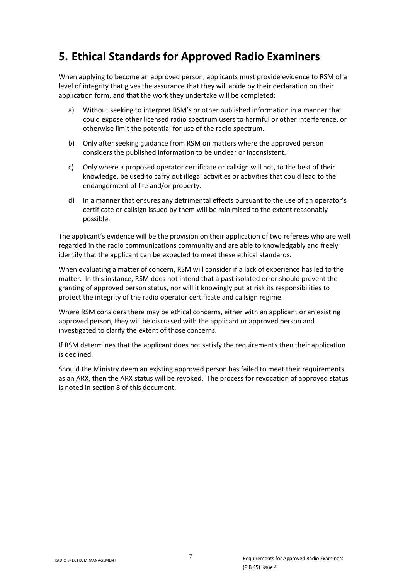## <span id="page-6-0"></span>**5. Ethical Standards for Approved Radio Examiners**

When applying to become an approved person, applicants must provide evidence to RSM of a level of integrity that gives the assurance that they will abide by their declaration on their application form, and that the work they undertake will be completed:

- a) Without seeking to interpret RSM's or other published information in a manner that could expose other licensed radio spectrum users to harmful or other interference, or otherwise limit the potential for use of the radio spectrum.
- b) Only after seeking guidance from RSM on matters where the approved person considers the published information to be unclear or inconsistent.
- c) Only where a proposed operator certificate or callsign will not, to the best of their knowledge, be used to carry out illegal activities or activities that could lead to the endangerment of life and/or property.
- d) In a manner that ensures any detrimental effects pursuant to the use of an operator's certificate or callsign issued by them will be minimised to the extent reasonably possible.

The applicant's evidence will be the provision on their application of two referees who are well regarded in the radio communications community and are able to knowledgably and freely identify that the applicant can be expected to meet these ethical standards.

When evaluating a matter of concern, RSM will consider if a lack of experience has led to the matter. In this instance, RSM does not intend that a past isolated error should prevent the granting of approved person status, nor will it knowingly put at risk its responsibilities to protect the integrity of the radio operator certificate and callsign regime.

Where RSM considers there may be ethical concerns, either with an applicant or an existing approved person, they will be discussed with the applicant or approved person and investigated to clarify the extent of those concerns.

If RSM determines that the applicant does not satisfy the requirements then their application is declined.

Should the Ministry deem an existing approved person has failed to meet their requirements as an ARX, then the ARX status will be revoked. The process for revocation of approved status is noted in section [8](#page-11-0) of this document.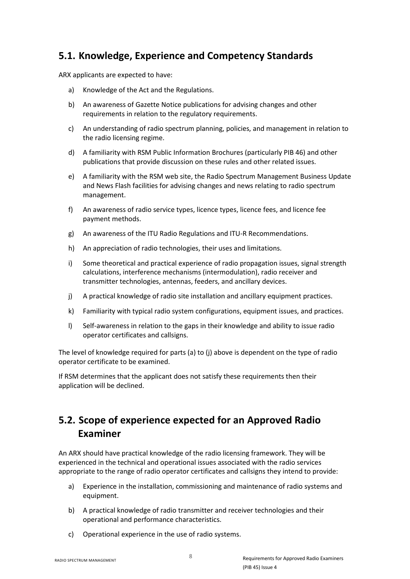#### <span id="page-7-0"></span>**5.1. Knowledge, Experience and Competency Standards**

ARX applicants are expected to have:

- a) Knowledge of the Act and the Regulations.
- b) An awareness of Gazette Notice publications for advising changes and other requirements in relation to the regulatory requirements.
- c) An understanding of radio spectrum planning, policies, and management in relation to the radio licensing regime.
- d) A familiarity with RSM Public Information Brochures (particularly [PIB 46\)](http://www.rsm.govt.nz/online-services-resources/publications/pibs/46) and other publications that provide discussion on these rules and other related issues.
- e) A familiarity with the [RSM web site,](http://www.rsm.govt.nz/) the Radio Spectrum Management Business Update and News Flash facilities for advising changes and news relating to radio spectrum management.
- f) An awareness of radio service types, licence types, licence fees, and licence fee payment methods.
- g) An awareness of the ITU Radio Regulations and ITU-R Recommendations.
- h) An appreciation of radio technologies, their uses and limitations.
- i) Some theoretical and practical experience of radio propagation issues, signal strength calculations, interference mechanisms (intermodulation), radio receiver and transmitter technologies, antennas, feeders, and ancillary devices.
- j) A practical knowledge of radio site installation and ancillary equipment practices.
- k) Familiarity with typical radio system configurations, equipment issues, and practices.
- l) Self-awareness in relation to the gaps in their knowledge and ability to issue radio operator certificates and callsigns.

The level of knowledge required for parts (a) to (j) above is dependent on the type of radio operator certificate to be examined.

If RSM determines that the applicant does not satisfy these requirements then their application will be declined.

#### <span id="page-7-1"></span>**5.2. Scope of experience expected for an Approved Radio Examiner**

An ARX should have practical knowledge of the radio licensing framework. They will be experienced in the technical and operational issues associated with the radio services appropriate to the range of radio operator certificates and callsigns they intend to provide:

- a) Experience in the installation, commissioning and maintenance of radio systems and equipment.
- b) A practical knowledge of radio transmitter and receiver technologies and their operational and performance characteristics.
- c) Operational experience in the use of radio systems.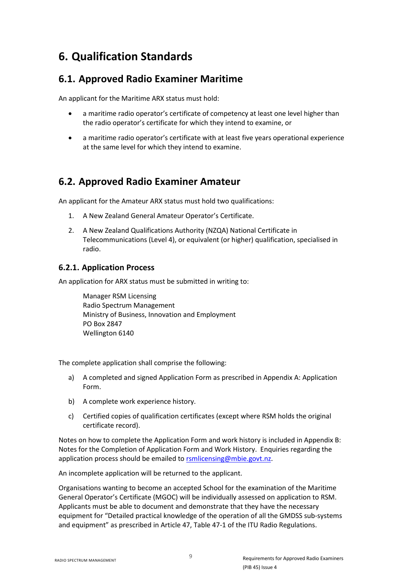# <span id="page-8-0"></span>**6. Qualification Standards**

#### <span id="page-8-1"></span>**6.1. Approved Radio Examiner Maritime**

An applicant for the Maritime ARX status must hold:

- a maritime radio operator's certificate of competency at least one level higher than the radio operator's certificate for which they intend to examine, or
- a maritime radio operator's certificate with at least five years operational experience at the same level for which they intend to examine.

#### <span id="page-8-2"></span>**6.2. Approved Radio Examiner Amateur**

An applicant for the Amateur ARX status must hold two qualifications:

- 1. A New Zealand General Amateur Operator's Certificate.
- 2. A New Zealand Qualifications Authority (NZQA) National Certificate in Telecommunications (Level 4), or equivalent (or higher) qualification, specialised in radio.

#### <span id="page-8-3"></span>**6.2.1. Application Process**

An application for ARX status must be submitted in writing to:

Manager RSM Licensing Radio Spectrum Management Ministry of Business, Innovation and Employment PO Box 2847 Wellington 6140

The complete application shall comprise the following:

- a) A completed and signed Application Form as prescribed i[n Appendix A: Application](#page-14-0)  [Form.](#page-14-0)
- b) A complete work experience history.
- c) Certified copies of qualification certificates (except where RSM holds the original certificate record).

Notes on how to complete the Application Form and work history is included i[n Appendix B:](#page-14-1)  [Notes for the Completion of Application Form and](#page-14-1) Work History. Enquiries regarding the application process should be emailed to [rsmlicensing@mbie.govt.nz.](mailto:rsmlicensing@mbie.govt.nz)

An incomplete application will be returned to the applicant.

Organisations wanting to become an accepted School for the examination of the Maritime General Operator's Certificate (MGOC) will be individually assessed on application to RSM. Applicants must be able to document and demonstrate that they have the necessary equipment for "Detailed practical knowledge of the operation of all the GMDSS sub-systems and equipment" as prescribed in Article 47, Table 47-1 of the ITU Radio Regulations.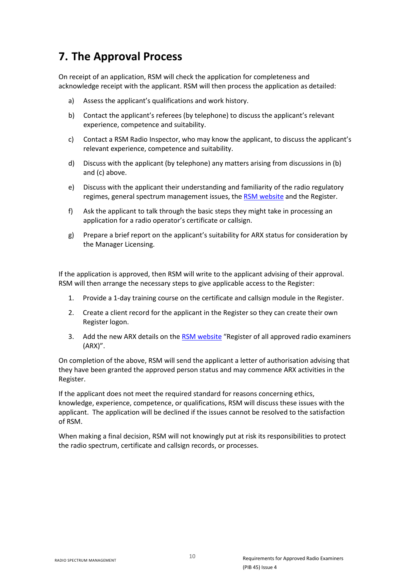# <span id="page-9-0"></span>**7. The Approval Process**

On receipt of an application, RSM will check the application for completeness and acknowledge receipt with the applicant. RSM will then process the application as detailed:

- a) Assess the applicant's qualifications and work history.
- b) Contact the applicant's referees (by telephone) to discuss the applicant's relevant experience, competence and suitability.
- c) Contact a RSM Radio Inspector, who may know the applicant, to discuss the applicant's relevant experience, competence and suitability.
- d) Discuss with the applicant (by telephone) any matters arising from discussions in (b) and (c) above.
- e) Discuss with the applicant their understanding and familiarity of the radio regulatory regimes, general spectrum management issues, the [RSM website](http://www.rsm.govt.nz/) and the Register.
- f) Ask the applicant to talk through the basic steps they might take in processing an application for a radio operator's certificate or callsign.
- g) Prepare a brief report on the applicant's suitability for ARX status for consideration by the Manager Licensing.

If the application is approved, then RSM will write to the applicant advising of their approval. RSM will then arrange the necessary steps to give applicable access to the Register:

- 1. Provide a 1-day training course on the certificate and callsign module in the Register.
- 2. Create a client record for the applicant in the Register so they can create their own Register logon.
- 3. Add the new ARX details on the [RSM website](http://www.rsm.govt.nz/) "Register of all approved radio examiners (ARX)".

On completion of the above, RSM will send the applicant a letter of authorisation advising that they have been granted the approved person status and may commence ARX activities in the Register.

If the applicant does not meet the required standard for reasons concerning ethics, knowledge, experience, competence, or qualifications, RSM will discuss these issues with the applicant. The application will be declined if the issues cannot be resolved to the satisfaction of RSM.

When making a final decision, RSM will not knowingly put at risk its responsibilities to protect the radio spectrum, certificate and callsign records, or processes.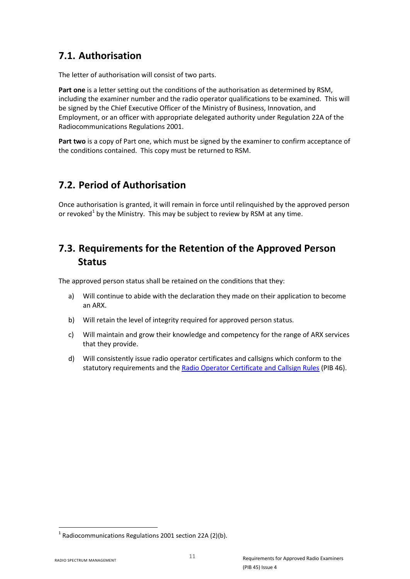## <span id="page-10-0"></span>**7.1. Authorisation**

The letter of authorisation will consist of two parts.

**Part one** is a letter setting out the conditions of the authorisation as determined by RSM, including the examiner number and the radio operator qualifications to be examined. This will be signed by the Chief Executive Officer of the Ministry of Business, Innovation, and Employment, or an officer with appropriate delegated authority under Regulation 22A of the Radiocommunications Regulations 2001.

**Part two** is a copy of Part one, which must be signed by the examiner to confirm acceptance of the conditions contained. This copy must be returned to RSM.

#### <span id="page-10-1"></span>**7.2. Period of Authorisation**

Once authorisation is granted, it will remain in force until relinquished by the approved person or revoked<sup>[1](#page-10-3)</sup> by the Ministry. This may be subject to review by RSM at any time.

## <span id="page-10-2"></span>**7.3. Requirements for the Retention of the Approved Person Status**

The approved person status shall be retained on the conditions that they:

- a) Will continue to abide with the declaration they made on their application to become an ARX.
- b) Will retain the level of integrity required for approved person status.
- c) Will maintain and grow their knowledge and competency for the range of ARX services that they provide.
- d) Will consistently issue radio operator certificates and callsigns which conform to the statutory requirements and the [Radio Operator Certificate and Callsign Rules](http://www.rsm.govt.nz/online-services-resources/publications/pibs/46) (PIB 46).

<span id="page-10-3"></span> $1$  Radiocommunications Regulations 2001 section 22A (2)(b).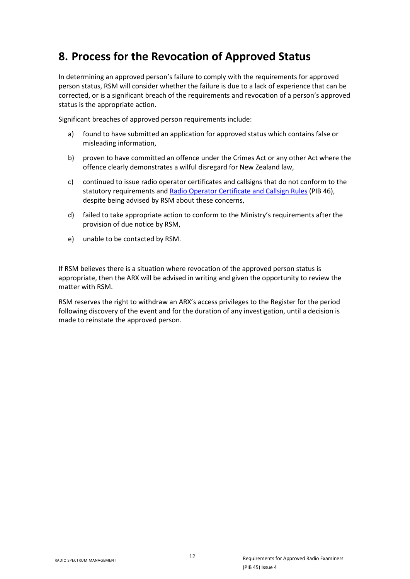## <span id="page-11-0"></span>**8. Process for the Revocation of Approved Status**

In determining an approved person's failure to comply with the requirements for approved person status, RSM will consider whether the failure is due to a lack of experience that can be corrected, or is a significant breach of the requirements and revocation of a person's approved status is the appropriate action.

Significant breaches of approved person requirements include:

- a) found to have submitted an application for approved status which contains false or misleading information,
- b) proven to have committed an offence under the Crimes Act or any other Act where the offence clearly demonstrates a wilful disregard for New Zealand law,
- c) continued to issue radio operator certificates and callsigns that do not conform to the statutory requirements and [Radio Operator Certificate and Callsign Rules](http://www.rsm.govt.nz/online-services-resources/publications/pibs/46) (PIB 46), despite being advised by RSM about these concerns,
- d) failed to take appropriate action to conform to the Ministry's requirements after the provision of due notice by RSM,
- e) unable to be contacted by RSM.

If RSM believes there is a situation where revocation of the approved person status is appropriate, then the ARX will be advised in writing and given the opportunity to review the matter with RSM.

RSM reserves the right to withdraw an ARX's access privileges to the Register for the period following discovery of the event and for the duration of any investigation, until a decision is made to reinstate the approved person.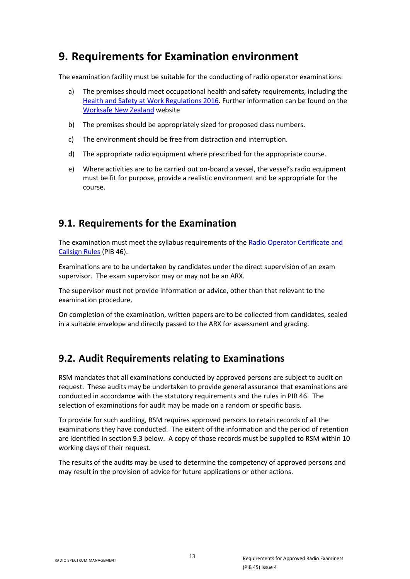## <span id="page-12-0"></span>**9. Requirements for Examination environment**

The examination facility must be suitable for the conducting of radio operator examinations:

- a) The premises should meet occupational health and safety requirements, including the [Health and Safety at Work Regulations 2016.](http://www.legislation.govt.nz/regulation/public/2016/0013/latest/DLM6727530.html) Further information can be found on the [Worksafe New Zealand](http://www.worksafe.govt.nz/worksafe) website
- b) The premises should be appropriately sized for proposed class numbers.
- c) The environment should be free from distraction and interruption.
- d) The appropriate radio equipment where prescribed for the appropriate course.
- e) Where activities are to be carried out on-board a vessel, the vessel's radio equipment must be fit for purpose, provide a realistic environment and be appropriate for the course.

#### <span id="page-12-1"></span>**9.1. Requirements for the Examination**

The examination must meet the syllabus requirements of the [Radio Operator Certificate and](http://www.rsm.govt.nz/online-services-resources/publications/pibs/46) [Callsign Rules](http://www.rsm.govt.nz/online-services-resources/publications/pibs/46) (PIB 46).

Examinations are to be undertaken by candidates under the direct supervision of an exam supervisor. The exam supervisor may or may not be an ARX.

The supervisor must not provide information or advice, other than that relevant to the examination procedure.

On completion of the examination, written papers are to be collected from candidates, sealed in a suitable envelope and directly passed to the ARX for assessment and grading.

#### <span id="page-12-2"></span>**9.2. Audit Requirements relating to Examinations**

RSM mandates that all examinations conducted by approved persons are subject to audit on request. These audits may be undertaken to provide general assurance that examinations are conducted in accordance with the statutory requirements and the rules in PIB 46. The selection of examinations for audit may be made on a random or specific basis.

To provide for such auditing, RSM requires approved persons to retain records of all the examinations they have conducted. The extent of the information and the period of retention are identified in section [9.3](#page-13-0) below. A copy of those records must be supplied to RSM within 10 working days of their request.

The results of the audits may be used to determine the competency of approved persons and may result in the provision of advice for future applications or other actions.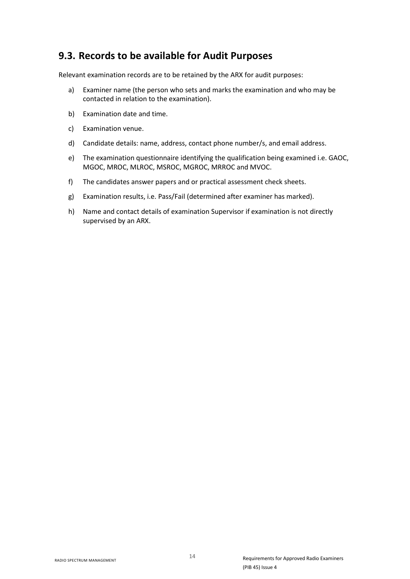#### <span id="page-13-0"></span>**9.3. Records to be available for Audit Purposes**

Relevant examination records are to be retained by the ARX for audit purposes:

- a) Examiner name (the person who sets and marks the examination and who may be contacted in relation to the examination).
- b) Examination date and time.
- c) Examination venue.
- d) Candidate details: name, address, contact phone number/s, and email address.
- e) The examination questionnaire identifying the qualification being examined i.e. GAOC, MGOC, MROC, MLROC, MSROC, MGROC, MRROC and MVOC.
- f) The candidates answer papers and or practical assessment check sheets.
- g) Examination results, i.e. Pass/Fail (determined after examiner has marked).
- h) Name and contact details of examination Supervisor if examination is not directly supervised by an ARX.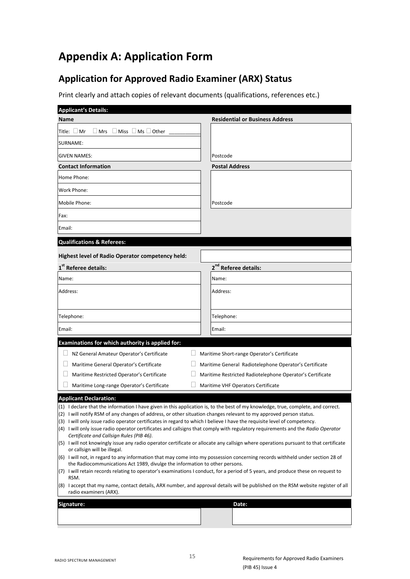# <span id="page-14-0"></span>**Appendix A: Application Form**

## **Application for Approved Radio Examiner (ARX) Status**

Print clearly and attach copies of relevant documents (qualifications, references etc.)

<span id="page-14-1"></span>

| <b>Applicant's Details:</b>                                                                                                                                                                                                                                                                                                                                                                                                                                                                                                                                                                                                                                                                                                                                                                                                                                                                                                                                                                                                                                                                                                                                                                                                                                            |                                                           |  |  |  |
|------------------------------------------------------------------------------------------------------------------------------------------------------------------------------------------------------------------------------------------------------------------------------------------------------------------------------------------------------------------------------------------------------------------------------------------------------------------------------------------------------------------------------------------------------------------------------------------------------------------------------------------------------------------------------------------------------------------------------------------------------------------------------------------------------------------------------------------------------------------------------------------------------------------------------------------------------------------------------------------------------------------------------------------------------------------------------------------------------------------------------------------------------------------------------------------------------------------------------------------------------------------------|-----------------------------------------------------------|--|--|--|
| <b>Name</b>                                                                                                                                                                                                                                                                                                                                                                                                                                                                                                                                                                                                                                                                                                                                                                                                                                                                                                                                                                                                                                                                                                                                                                                                                                                            | <b>Residential or Business Address</b>                    |  |  |  |
| $\Box$ Mrs $\Box$ Miss $\Box$ Ms $\Box$ Other<br>Title: $\Box$ Mr                                                                                                                                                                                                                                                                                                                                                                                                                                                                                                                                                                                                                                                                                                                                                                                                                                                                                                                                                                                                                                                                                                                                                                                                      |                                                           |  |  |  |
| SURNAME:                                                                                                                                                                                                                                                                                                                                                                                                                                                                                                                                                                                                                                                                                                                                                                                                                                                                                                                                                                                                                                                                                                                                                                                                                                                               |                                                           |  |  |  |
| <b>GIVEN NAMES:</b>                                                                                                                                                                                                                                                                                                                                                                                                                                                                                                                                                                                                                                                                                                                                                                                                                                                                                                                                                                                                                                                                                                                                                                                                                                                    | Postcode                                                  |  |  |  |
| <b>Contact Information</b>                                                                                                                                                                                                                                                                                                                                                                                                                                                                                                                                                                                                                                                                                                                                                                                                                                                                                                                                                                                                                                                                                                                                                                                                                                             | <b>Postal Address</b>                                     |  |  |  |
| Home Phone:                                                                                                                                                                                                                                                                                                                                                                                                                                                                                                                                                                                                                                                                                                                                                                                                                                                                                                                                                                                                                                                                                                                                                                                                                                                            |                                                           |  |  |  |
| Work Phone:                                                                                                                                                                                                                                                                                                                                                                                                                                                                                                                                                                                                                                                                                                                                                                                                                                                                                                                                                                                                                                                                                                                                                                                                                                                            |                                                           |  |  |  |
| Mobile Phone:                                                                                                                                                                                                                                                                                                                                                                                                                                                                                                                                                                                                                                                                                                                                                                                                                                                                                                                                                                                                                                                                                                                                                                                                                                                          | Postcode                                                  |  |  |  |
| Fax:                                                                                                                                                                                                                                                                                                                                                                                                                                                                                                                                                                                                                                                                                                                                                                                                                                                                                                                                                                                                                                                                                                                                                                                                                                                                   |                                                           |  |  |  |
| Email:                                                                                                                                                                                                                                                                                                                                                                                                                                                                                                                                                                                                                                                                                                                                                                                                                                                                                                                                                                                                                                                                                                                                                                                                                                                                 |                                                           |  |  |  |
| <b>Qualifications &amp; Referees:</b>                                                                                                                                                                                                                                                                                                                                                                                                                                                                                                                                                                                                                                                                                                                                                                                                                                                                                                                                                                                                                                                                                                                                                                                                                                  |                                                           |  |  |  |
| Highest level of Radio Operator competency held:                                                                                                                                                                                                                                                                                                                                                                                                                                                                                                                                                                                                                                                                                                                                                                                                                                                                                                                                                                                                                                                                                                                                                                                                                       |                                                           |  |  |  |
| 1 <sup>st</sup> Referee details:                                                                                                                                                                                                                                                                                                                                                                                                                                                                                                                                                                                                                                                                                                                                                                                                                                                                                                                                                                                                                                                                                                                                                                                                                                       | 2 <sup>nd</sup> Referee details:                          |  |  |  |
| Name:                                                                                                                                                                                                                                                                                                                                                                                                                                                                                                                                                                                                                                                                                                                                                                                                                                                                                                                                                                                                                                                                                                                                                                                                                                                                  | Name:                                                     |  |  |  |
| Address:                                                                                                                                                                                                                                                                                                                                                                                                                                                                                                                                                                                                                                                                                                                                                                                                                                                                                                                                                                                                                                                                                                                                                                                                                                                               | Address:                                                  |  |  |  |
|                                                                                                                                                                                                                                                                                                                                                                                                                                                                                                                                                                                                                                                                                                                                                                                                                                                                                                                                                                                                                                                                                                                                                                                                                                                                        |                                                           |  |  |  |
| Telephone:                                                                                                                                                                                                                                                                                                                                                                                                                                                                                                                                                                                                                                                                                                                                                                                                                                                                                                                                                                                                                                                                                                                                                                                                                                                             | Telephone:                                                |  |  |  |
| Email:                                                                                                                                                                                                                                                                                                                                                                                                                                                                                                                                                                                                                                                                                                                                                                                                                                                                                                                                                                                                                                                                                                                                                                                                                                                                 | Email:                                                    |  |  |  |
| Examinations for which authority is applied for:                                                                                                                                                                                                                                                                                                                                                                                                                                                                                                                                                                                                                                                                                                                                                                                                                                                                                                                                                                                                                                                                                                                                                                                                                       |                                                           |  |  |  |
| NZ General Amateur Operator's Certificate<br>⊔                                                                                                                                                                                                                                                                                                                                                                                                                                                                                                                                                                                                                                                                                                                                                                                                                                                                                                                                                                                                                                                                                                                                                                                                                         | Maritime Short-range Operator's Certificate               |  |  |  |
| Maritime General Operator's Certificate                                                                                                                                                                                                                                                                                                                                                                                                                                                                                                                                                                                                                                                                                                                                                                                                                                                                                                                                                                                                                                                                                                                                                                                                                                | Maritime General Radiotelephone Operator's Certificate    |  |  |  |
| Maritime Restricted Operator's Certificate                                                                                                                                                                                                                                                                                                                                                                                                                                                                                                                                                                                                                                                                                                                                                                                                                                                                                                                                                                                                                                                                                                                                                                                                                             | Maritime Restricted Radiotelephone Operator's Certificate |  |  |  |
| Maritime Long-range Operator's Certificate                                                                                                                                                                                                                                                                                                                                                                                                                                                                                                                                                                                                                                                                                                                                                                                                                                                                                                                                                                                                                                                                                                                                                                                                                             | Maritime VHF Operators Certificate                        |  |  |  |
| <b>Applicant Declaration:</b>                                                                                                                                                                                                                                                                                                                                                                                                                                                                                                                                                                                                                                                                                                                                                                                                                                                                                                                                                                                                                                                                                                                                                                                                                                          |                                                           |  |  |  |
| (1) I declare that the information I have given in this application is, to the best of my knowledge, true, complete, and correct.<br>(2) I will notify RSM of any changes of address, or other situation changes relevant to my approved person status.<br>(3) I will only issue radio operator certificates in regard to which I believe I have the requisite level of competency.<br>(4) I will only issue radio operator certificates and callsigns that comply with regulatory requirements and the Radio Operator<br>Certificate and Callsign Rules (PIB 46).<br>(5) I will not knowingly issue any radio operator certificate or allocate any callsign where operations pursuant to that certificate<br>or callsign will be illegal.<br>(6) I will not, in regard to any information that may come into my possession concerning records withheld under section 28 of<br>the Radiocommunications Act 1989, divulge the information to other persons.<br>(7) I will retain records relating to operator's examinations I conduct, for a period of 5 years, and produce these on request to<br>RSM.<br>(8) I accept that my name, contact details, ARX number, and approval details will be published on the RSM website register of all<br>radio examiners (ARX). |                                                           |  |  |  |
| Signature:                                                                                                                                                                                                                                                                                                                                                                                                                                                                                                                                                                                                                                                                                                                                                                                                                                                                                                                                                                                                                                                                                                                                                                                                                                                             | Date:                                                     |  |  |  |
|                                                                                                                                                                                                                                                                                                                                                                                                                                                                                                                                                                                                                                                                                                                                                                                                                                                                                                                                                                                                                                                                                                                                                                                                                                                                        |                                                           |  |  |  |
|                                                                                                                                                                                                                                                                                                                                                                                                                                                                                                                                                                                                                                                                                                                                                                                                                                                                                                                                                                                                                                                                                                                                                                                                                                                                        |                                                           |  |  |  |